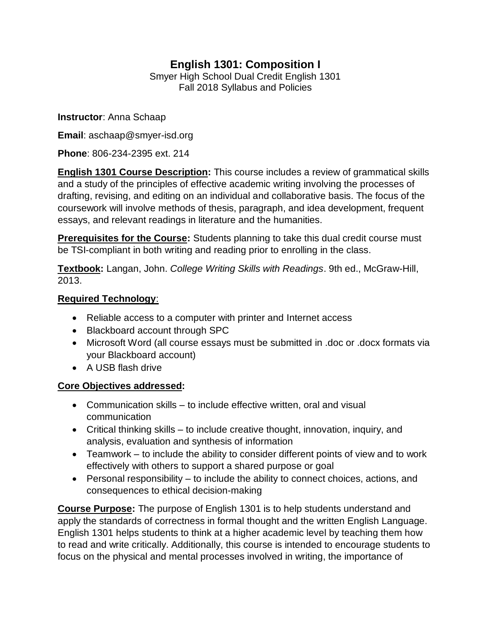# **English 1301: Composition I**

Smyer High School Dual Credit English 1301 Fall 2018 Syllabus and Policies

**Instructor**: Anna Schaap

**Email**: aschaap@smyer-isd.org

**Phone**: 806-234-2395 ext. 214

**English 1301 Course Description:** This course includes a review of grammatical skills and a study of the principles of effective academic writing involving the processes of drafting, revising, and editing on an individual and collaborative basis. The focus of the coursework will involve methods of thesis, paragraph, and idea development, frequent essays, and relevant readings in literature and the humanities.

**Prerequisites for the Course:** Students planning to take this dual credit course must be TSI-compliant in both writing and reading prior to enrolling in the class.

**Textbook:** Langan, John. *College Writing Skills with Readings*. 9th ed., McGraw-Hill, 2013.

#### **Required Technology**:

- Reliable access to a computer with printer and Internet access
- Blackboard account through SPC
- Microsoft Word (all course essays must be submitted in .doc or .docx formats via your Blackboard account)
- A USB flash drive

## **Core Objectives addressed:**

- Communication skills to include effective written, oral and visual communication
- Critical thinking skills to include creative thought, innovation, inquiry, and analysis, evaluation and synthesis of information
- Teamwork to include the ability to consider different points of view and to work effectively with others to support a shared purpose or goal
- Personal responsibility to include the ability to connect choices, actions, and consequences to ethical decision-making

**Course Purpose:** The purpose of English 1301 is to help students understand and apply the standards of correctness in formal thought and the written English Language. English 1301 helps students to think at a higher academic level by teaching them how to read and write critically. Additionally, this course is intended to encourage students to focus on the physical and mental processes involved in writing, the importance of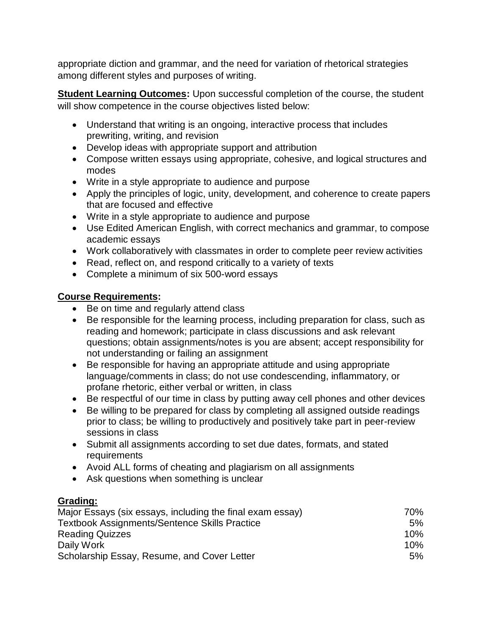appropriate diction and grammar, and the need for variation of rhetorical strategies among different styles and purposes of writing.

**Student Learning Outcomes:** Upon successful completion of the course, the student will show competence in the course objectives listed below:

- Understand that writing is an ongoing, interactive process that includes prewriting, writing, and revision
- Develop ideas with appropriate support and attribution
- Compose written essays using appropriate, cohesive, and logical structures and modes
- Write in a style appropriate to audience and purpose
- Apply the principles of logic, unity, development, and coherence to create papers that are focused and effective
- Write in a style appropriate to audience and purpose
- Use Edited American English, with correct mechanics and grammar, to compose academic essays
- Work collaboratively with classmates in order to complete peer review activities
- Read, reflect on, and respond critically to a variety of texts
- Complete a minimum of six 500-word essays

## **Course Requirements:**

- Be on time and regularly attend class
- Be responsible for the learning process, including preparation for class, such as reading and homework; participate in class discussions and ask relevant questions; obtain assignments/notes is you are absent; accept responsibility for not understanding or failing an assignment
- Be responsible for having an appropriate attitude and using appropriate language/comments in class; do not use condescending, inflammatory, or profane rhetoric, either verbal or written, in class
- Be respectful of our time in class by putting away cell phones and other devices
- Be willing to be prepared for class by completing all assigned outside readings prior to class; be willing to productively and positively take part in peer-review sessions in class
- Submit all assignments according to set due dates, formats, and stated requirements
- Avoid ALL forms of cheating and plagiarism on all assignments
- Ask questions when something is unclear

## **Grading:**

| Major Essays (six essays, including the final exam essay) | 70%    |
|-----------------------------------------------------------|--------|
| <b>Textbook Assignments/Sentence Skills Practice</b>      | 5%     |
| <b>Reading Quizzes</b>                                    | $10\%$ |
| Daily Work                                                | $10\%$ |
| Scholarship Essay, Resume, and Cover Letter               | 5%     |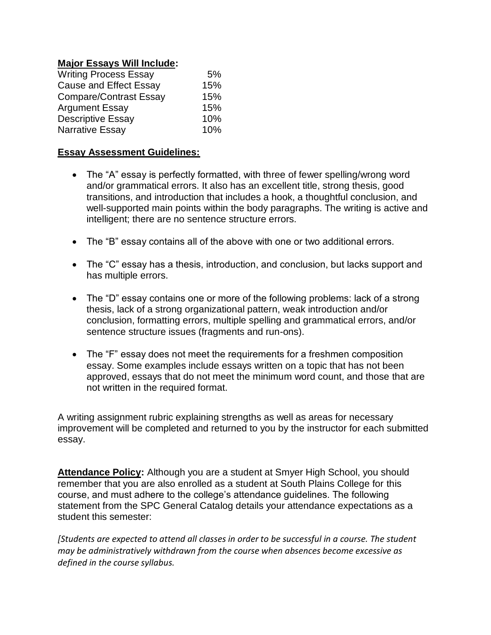#### **Major Essays Will Include:**

| <b>Writing Process Essay</b>  | 5%  |
|-------------------------------|-----|
| <b>Cause and Effect Essay</b> | 15% |
| <b>Compare/Contrast Essay</b> | 15% |
| <b>Argument Essay</b>         | 15% |
| <b>Descriptive Essay</b>      | 10% |
| Narrative Essay               | 10% |

#### **Essay Assessment Guidelines:**

- The "A" essay is perfectly formatted, with three of fewer spelling/wrong word and/or grammatical errors. It also has an excellent title, strong thesis, good transitions, and introduction that includes a hook, a thoughtful conclusion, and well-supported main points within the body paragraphs. The writing is active and intelligent; there are no sentence structure errors.
- The "B" essay contains all of the above with one or two additional errors.
- The "C" essay has a thesis, introduction, and conclusion, but lacks support and has multiple errors.
- The "D" essay contains one or more of the following problems: lack of a strong thesis, lack of a strong organizational pattern, weak introduction and/or conclusion, formatting errors, multiple spelling and grammatical errors, and/or sentence structure issues (fragments and run-ons).
- The "F" essay does not meet the requirements for a freshmen composition essay. Some examples include essays written on a topic that has not been approved, essays that do not meet the minimum word count, and those that are not written in the required format.

A writing assignment rubric explaining strengths as well as areas for necessary improvement will be completed and returned to you by the instructor for each submitted essay.

**Attendance Policy:** Although you are a student at Smyer High School, you should remember that you are also enrolled as a student at South Plains College for this course, and must adhere to the college's attendance guidelines. The following statement from the SPC General Catalog details your attendance expectations as a student this semester:

*[Students are expected to attend all classes in order to be successful in a course. The student may be administratively withdrawn from the course when absences become excessive as defined in the course syllabus.*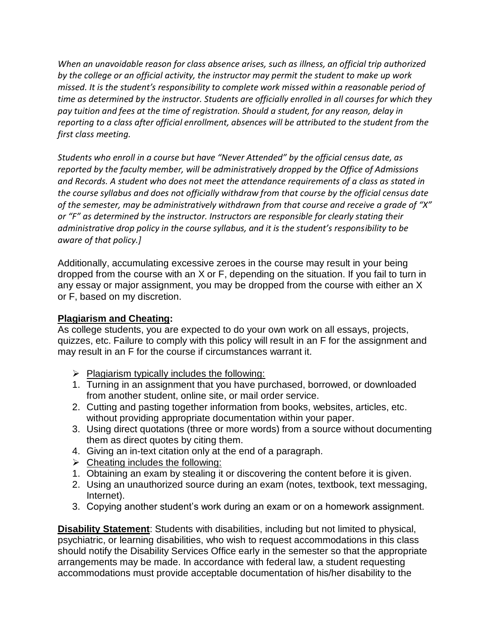*When an unavoidable reason for class absence arises, such as illness, an official trip authorized by the college or an official activity, the instructor may permit the student to make up work missed. It is the student's responsibility to complete work missed within a reasonable period of time as determined by the instructor. Students are officially enrolled in all courses for which they pay tuition and fees at the time of registration. Should a student, for any reason, delay in reporting to a class after official enrollment, absences will be attributed to the student from the first class meeting.* 

*Students who enroll in a course but have "Never Attended" by the official census date, as reported by the faculty member, will be administratively dropped by the Office of Admissions and Records. A student who does not meet the attendance requirements of a class as stated in the course syllabus and does not officially withdraw from that course by the official census date of the semester, may be administratively withdrawn from that course and receive a grade of "X" or "F" as determined by the instructor. Instructors are responsible for clearly stating their administrative drop policy in the course syllabus, and it is the student's responsibility to be aware of that policy.]*

Additionally, accumulating excessive zeroes in the course may result in your being dropped from the course with an X or F, depending on the situation. If you fail to turn in any essay or major assignment, you may be dropped from the course with either an X or F, based on my discretion.

### **Plagiarism and Cheating:**

As college students, you are expected to do your own work on all essays, projects, quizzes, etc. Failure to comply with this policy will result in an F for the assignment and may result in an F for the course if circumstances warrant it.

- $\triangleright$  Plagiarism typically includes the following:
- 1. Turning in an assignment that you have purchased, borrowed, or downloaded from another student, online site, or mail order service.
- 2. Cutting and pasting together information from books, websites, articles, etc. without providing appropriate documentation within your paper.
- 3. Using direct quotations (three or more words) from a source without documenting them as direct quotes by citing them.
- 4. Giving an in-text citation only at the end of a paragraph.
- $\triangleright$  Cheating includes the following:
- 1. Obtaining an exam by stealing it or discovering the content before it is given.
- 2. Using an unauthorized source during an exam (notes, textbook, text messaging, Internet).
- 3. Copying another student's work during an exam or on a homework assignment.

**Disability Statement**: Students with disabilities, including but not limited to physical, psychiatric, or learning disabilities, who wish to request accommodations in this class should notify the Disability Services Office early in the semester so that the appropriate arrangements may be made. In accordance with federal law, a student requesting accommodations must provide acceptable documentation of his/her disability to the